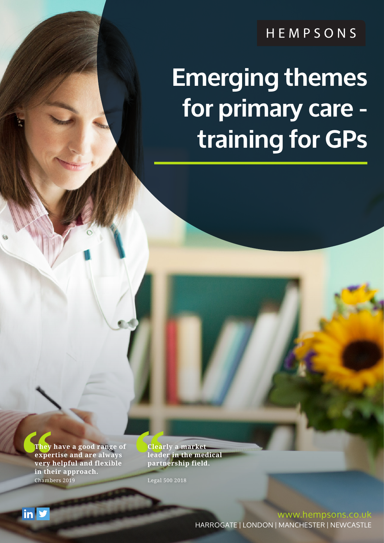HEMPSONS

# **Emerging themes for primary care training for GPs**

**They have a good range of a subset of the expertise and are always leade very helpful and flexible partn in their approach. Chambers 2019 Legal 5 expertise and are always very helpful and flexible in their approach.** Chambers 2019

 $\mathsf{in} \, \mathsf{y}$ 

**Clearly a market leader in the medical partnership field.**

Legal 500 2018

www.hempsons.co.uk HARROGATE | LONDON | MANCHESTER | NEWCASTLE